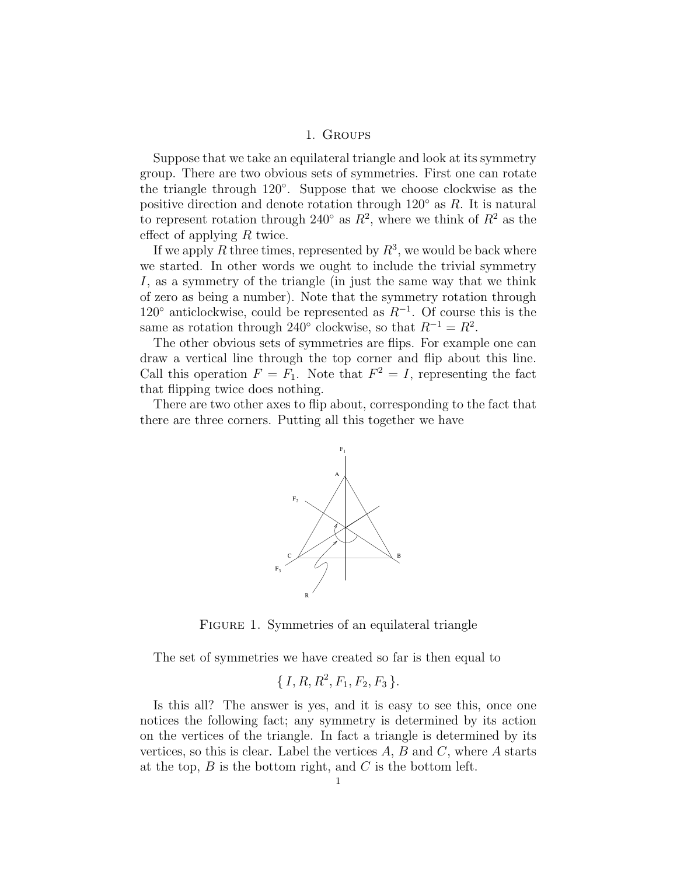## 1. Groups

Suppose that we take an equilateral triangle and look at its symmetry group. There are two obvious sets of symmetries. First one can rotate the triangle through 120◦ . Suppose that we choose clockwise as the positive direction and denote rotation through 120◦ as R. It is natural to represent rotation through 240<sup>°</sup> as  $R^2$ , where we think of  $R^2$  as the effect of applying  $R$  twice.

If we apply R three times, represented by  $R^3$ , we would be back where we started. In other words we ought to include the trivial symmetry I, as a symmetry of the triangle (in just the same way that we think of zero as being a number). Note that the symmetry rotation through  $120°$  anticlockwise, could be represented as  $R^{-1}$ . Of course this is the same as rotation through 240 $^{\circ}$  clockwise, so that  $R^{-1} = R^2$ .

The other obvious sets of symmetries are flips. For example one can draw a vertical line through the top corner and flip about this line. Call this operation  $F = F_1$ . Note that  $F^2 = I$ , representing the fact that flipping twice does nothing.

There are two other axes to flip about, corresponding to the fact that there are three corners. Putting all this together we have



FIGURE 1. Symmetries of an equilateral triangle

The set of symmetries we have created so far is then equal to

$$
\{I, R, R^2, F_1, F_2, F_3\}.
$$

Is this all? The answer is yes, and it is easy to see this, once one notices the following fact; any symmetry is determined by its action on the vertices of the triangle. In fact a triangle is determined by its vertices, so this is clear. Label the vertices  $A, B$  and  $C$ , where  $A$  starts at the top,  $B$  is the bottom right, and  $C$  is the bottom left.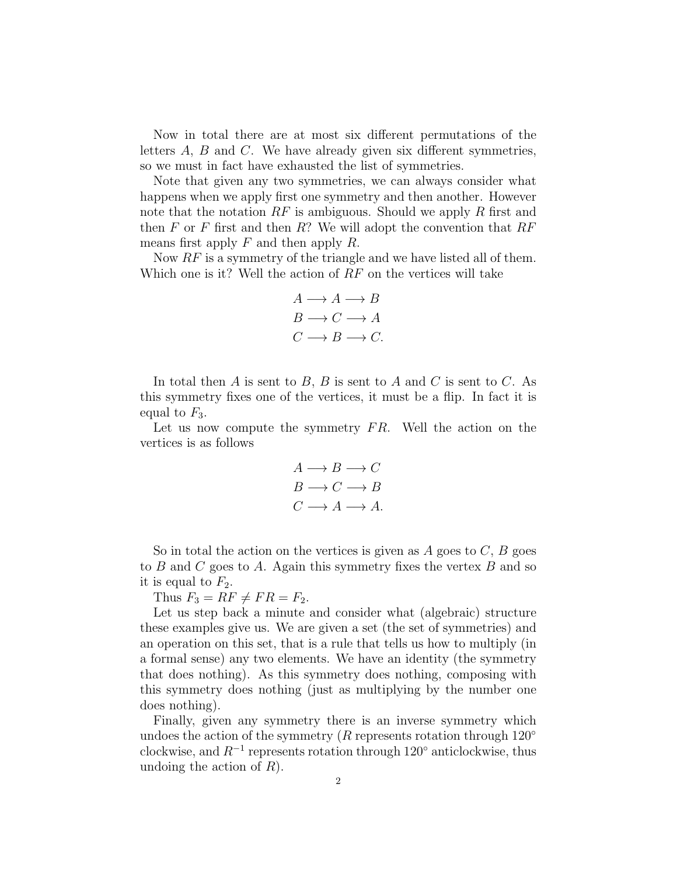Now in total there are at most six different permutations of the letters A, B and C. We have already given six different symmetries, so we must in fact have exhausted the list of symmetries.

Note that given any two symmetries, we can always consider what happens when we apply first one symmetry and then another. However note that the notation  $RF$  is ambiguous. Should we apply R first and then  $F$  or  $F$  first and then  $R$ ? We will adopt the convention that  $RF$ means first apply  $F$  and then apply  $R$ .

Now  $RF$  is a symmetry of the triangle and we have listed all of them. Which one is it? Well the action of  $RF$  on the vertices will take

$$
A \longrightarrow A \longrightarrow B
$$
  

$$
B \longrightarrow C \longrightarrow A
$$
  

$$
C \longrightarrow B \longrightarrow C.
$$

In total then A is sent to B, B is sent to A and C is sent to C. As this symmetry fixes one of the vertices, it must be a flip. In fact it is equal to  $F_3$ .

Let us now compute the symmetry  $FR$ . Well the action on the vertices is as follows

$$
A \longrightarrow B \longrightarrow C
$$
  

$$
B \longrightarrow C \longrightarrow B
$$
  

$$
C \longrightarrow A \longrightarrow A.
$$

So in total the action on the vertices is given as  $A$  goes to  $C, B$  goes to  $B$  and  $C$  goes to  $A$ . Again this symmetry fixes the vertex  $B$  and so it is equal to  $F_2$ .

Thus  $F_3 = RF \neq FR = F_2$ .

Let us step back a minute and consider what (algebraic) structure these examples give us. We are given a set (the set of symmetries) and an operation on this set, that is a rule that tells us how to multiply (in a formal sense) any two elements. We have an identity (the symmetry that does nothing). As this symmetry does nothing, composing with this symmetry does nothing (just as multiplying by the number one does nothing).

Finally, given any symmetry there is an inverse symmetry which undoes the action of the symmetry (R represents rotation through  $120°$ ) clockwise, and  $R^{-1}$  represents rotation through 120 $^{\circ}$  anticlockwise, thus undoing the action of  $R$ ).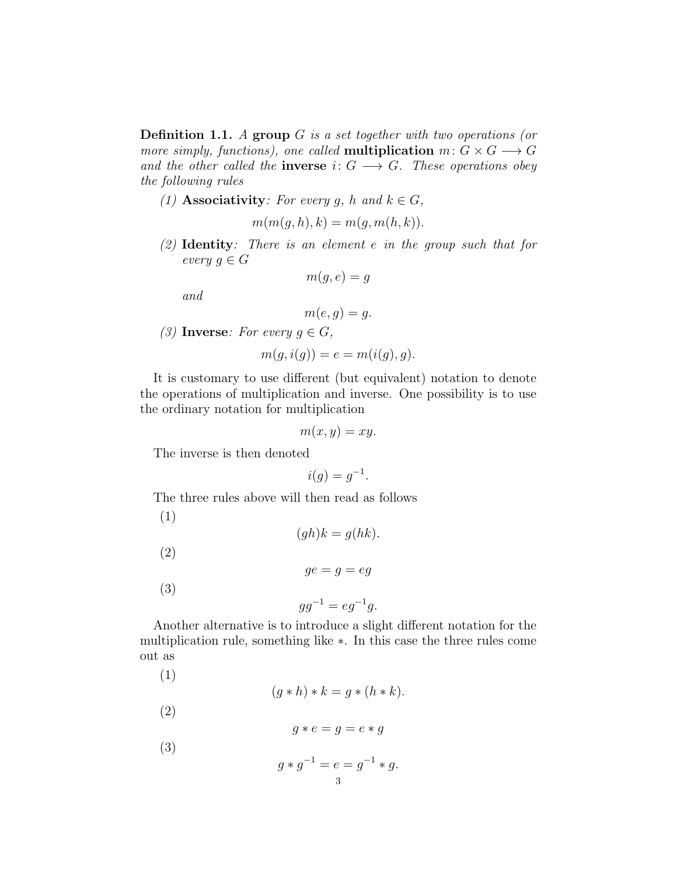**Definition 1.1.** A group  $G$  is a set together with two operations (or more simply, functions), one called **multiplication**  $m: G \times G \longrightarrow G$ and the other called the **inverse**  $i: G \longrightarrow G$ . These operations obey the following rules

(1) Associativity: For every g, h and  $k \in G$ ,

$$
m(m(g, h), k) = m(g, m(h, k)).
$$

 $(2)$  **Identity**: There is an element e in the group such that for every  $g \in G$ 

$$
m(g,e)=g
$$

and

$$
m(e,g) = g.
$$

(3) Inverse: For every  $q \in G$ ,

$$
m(g, i(g)) = e = m(i(g), g).
$$

It is customary to use different (but equivalent) notation to denote the operations of multiplication and inverse. One possibility is to use the ordinary notation for multiplication

$$
m(x,y)=xy.
$$

The inverse is then denoted

$$
i(g) = g^{-1}.
$$

The three rules above will then read as follows

(1)

$$
(gh)k = g(hk).
$$

(2)

$$
ge = g = eg
$$

(3)

$$
gg^{-1} = eg^{-1}g.
$$

Another alternative is to introduce a slight different notation for the multiplication rule, something like ∗. In this case the three rules come out as

(1)  $(g * h) * k = g * (h * k).$ (2)  $g * e = g = e * g$ (3)

$$
g * g^{-1} = e = g^{-1} * g.
$$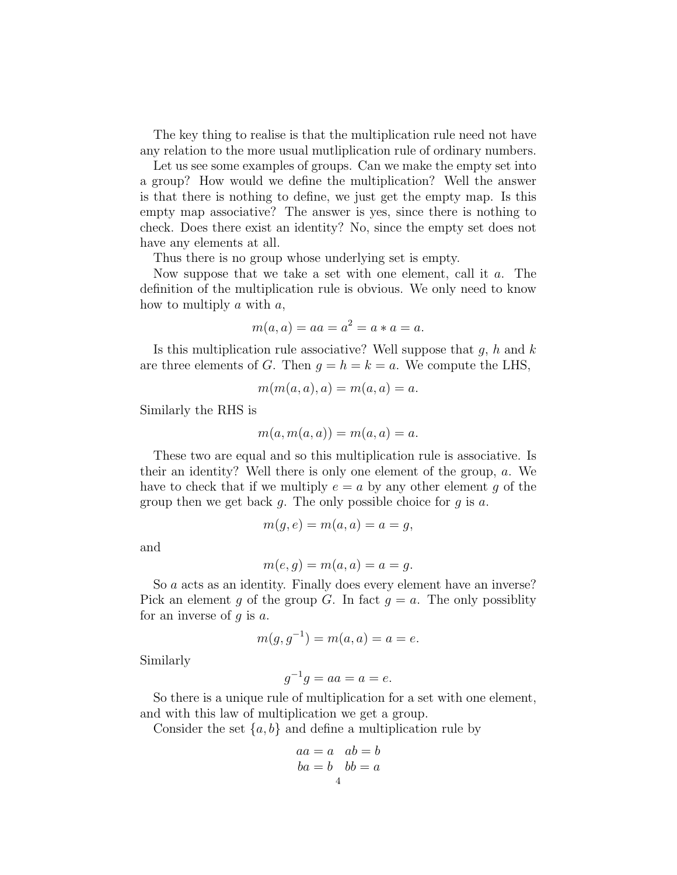The key thing to realise is that the multiplication rule need not have any relation to the more usual mutliplication rule of ordinary numbers.

Let us see some examples of groups. Can we make the empty set into a group? How would we define the multiplication? Well the answer is that there is nothing to define, we just get the empty map. Is this empty map associative? The answer is yes, since there is nothing to check. Does there exist an identity? No, since the empty set does not have any elements at all.

Thus there is no group whose underlying set is empty.

Now suppose that we take a set with one element, call it  $a$ . The definition of the multiplication rule is obvious. We only need to know how to multiply a with a,

$$
m(a, a) = aa = a^2 = a * a = a.
$$

Is this multiplication rule associative? Well suppose that  $q$ ,  $h$  and  $k$ are three elements of G. Then  $q = h = k = a$ . We compute the LHS,

$$
m(m(a,a),a) = m(a,a) = a.
$$

Similarly the RHS is

$$
m(a, m(a, a)) = m(a, a) = a.
$$

These two are equal and so this multiplication rule is associative. Is their an identity? Well there is only one element of the group, a. We have to check that if we multiply  $e = a$  by any other element q of the group then we get back g. The only possible choice for g is a.

$$
m(g, e) = m(a, a) = a = g,
$$

and

$$
m(e, g) = m(a, a) = a = g.
$$

So a acts as an identity. Finally does every element have an inverse? Pick an element g of the group G. In fact  $g = a$ . The only possiblity for an inverse of  $q$  is  $a$ .

$$
m(g, g^{-1}) = m(a, a) = a = e.
$$

Similarly

$$
g^{-1}g = aa = a = e.
$$

So there is a unique rule of multiplication for a set with one element, and with this law of multiplication we get a group.

Consider the set  $\{a, b\}$  and define a multiplication rule by

$$
aa = a \quad ab = b
$$
  

$$
ba = b \quad bb = a
$$
  

$$
4
$$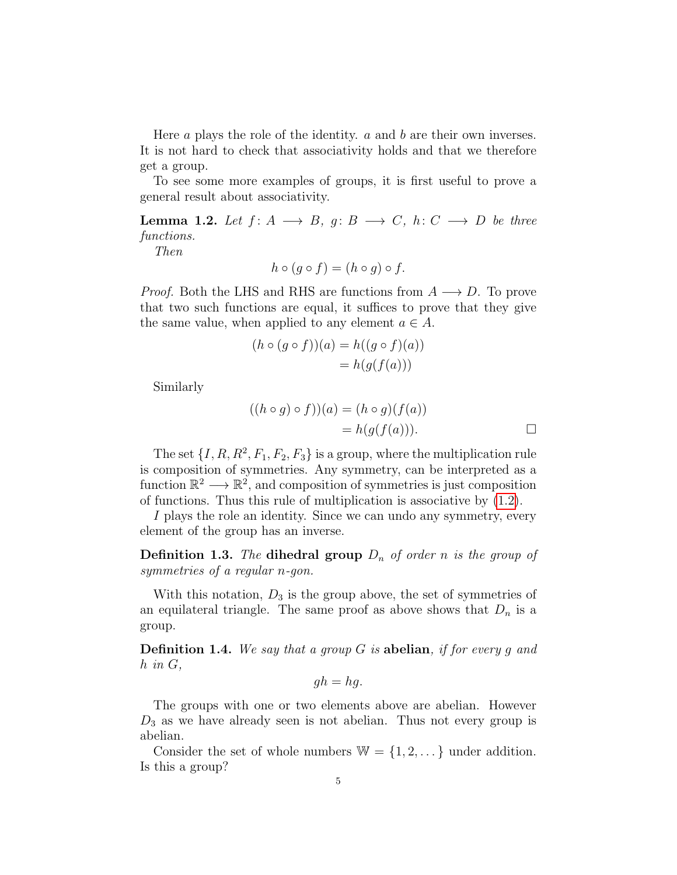Here  $a$  plays the role of the identity.  $a$  and  $b$  are their own inverses. It is not hard to check that associativity holds and that we therefore get a group.

To see some more examples of groups, it is first useful to prove a general result about associativity.

<span id="page-4-0"></span>**Lemma 1.2.** Let  $f: A \longrightarrow B$ ,  $g: B \longrightarrow C$ ,  $h: C \longrightarrow D$  be three functions.

Then

$$
h \circ (g \circ f) = (h \circ g) \circ f.
$$

*Proof.* Both the LHS and RHS are functions from  $A \rightarrow D$ . To prove that two such functions are equal, it suffices to prove that they give the same value, when applied to any element  $a \in A$ .

$$
(h \circ (g \circ f))(a) = h((g \circ f)(a))
$$
  
=  $h(g(f(a)))$ 

Similarly

$$
((h \circ g) \circ f))(a) = (h \circ g)(f(a))
$$
  
=  $h(g(f(a))).$ 

The set  $\{I, R, R^2, F_1, F_2, F_3\}$  is a group, where the multiplication rule is composition of symmetries. Any symmetry, can be interpreted as a function  $\mathbb{R}^2 \longrightarrow \mathbb{R}^2$ , and composition of symmetries is just composition of functions. Thus this rule of multiplication is associative by [\(1.2\)](#page-4-0).

I plays the role an identity. Since we can undo any symmetry, every element of the group has an inverse.

**Definition 1.3.** The **dihedral group**  $D_n$  of order n is the group of symmetries of a regular n-gon.

With this notation,  $D_3$  is the group above, the set of symmetries of an equilateral triangle. The same proof as above shows that  $D_n$  is a group.

**Definition 1.4.** We say that a group  $G$  is abelian, if for every q and h in G,

$$
gh = hg.
$$

The groups with one or two elements above are abelian. However  $D_3$  as we have already seen is not abelian. Thus not every group is abelian.

Consider the set of whole numbers  $\mathbb{W} = \{1, 2, \dots\}$  under addition. Is this a group?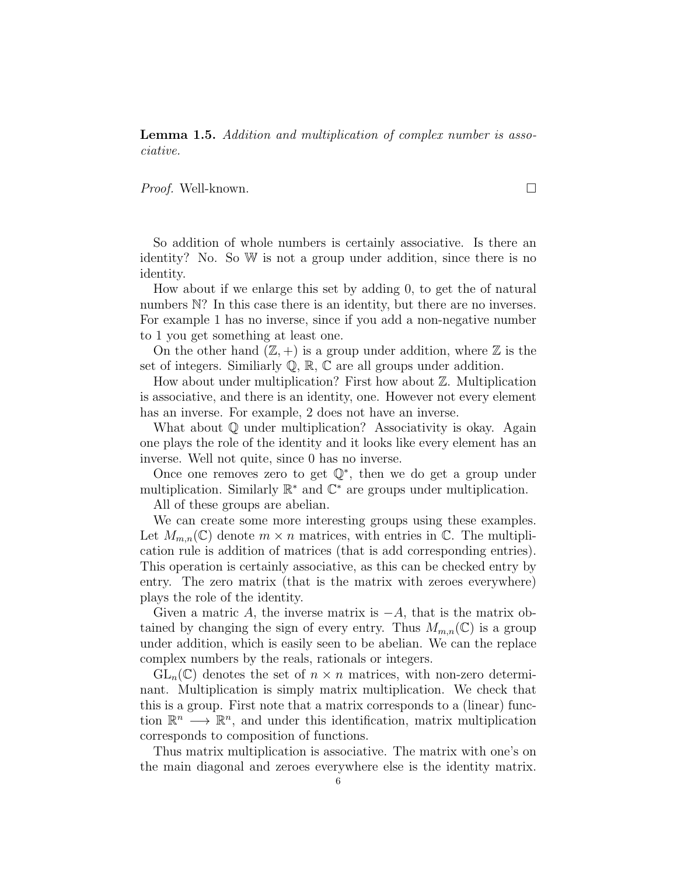Lemma 1.5. Addition and multiplication of complex number is associative.

*Proof.* Well-known. □

So addition of whole numbers is certainly associative. Is there an identity? No. So W is not a group under addition, since there is no identity.

How about if we enlarge this set by adding 0, to get the of natural numbers  $\mathbb{N}$ ? In this case there is an identity, but there are no inverses. For example 1 has no inverse, since if you add a non-negative number to 1 you get something at least one.

On the other hand  $(\mathbb{Z}, +)$  is a group under addition, where  $\mathbb Z$  is the set of integers. Similiarly  $\mathbb{Q}, \mathbb{R}, \mathbb{C}$  are all groups under addition.

How about under multiplication? First how about Z. Multiplication is associative, and there is an identity, one. However not every element has an inverse. For example, 2 does not have an inverse.

What about  $\mathbb Q$  under multiplication? Associativity is okay. Again one plays the role of the identity and it looks like every element has an inverse. Well not quite, since 0 has no inverse.

Once one removes zero to get Q<sup>∗</sup> , then we do get a group under multiplication. Similarly  $\mathbb{R}^*$  and  $\mathbb{C}^*$  are groups under multiplication.

All of these groups are abelian.

We can create some more interesting groups using these examples. Let  $M_{m,n}(\mathbb{C})$  denote  $m \times n$  matrices, with entries in  $\mathbb{C}$ . The multiplication rule is addition of matrices (that is add corresponding entries). This operation is certainly associative, as this can be checked entry by entry. The zero matrix (that is the matrix with zeroes everywhere) plays the role of the identity.

Given a matric A, the inverse matrix is  $-A$ , that is the matrix obtained by changing the sign of every entry. Thus  $M_{m,n}(\mathbb{C})$  is a group under addition, which is easily seen to be abelian. We can the replace complex numbers by the reals, rationals or integers.

 $GL_n(\mathbb{C})$  denotes the set of  $n \times n$  matrices, with non-zero determinant. Multiplication is simply matrix multiplication. We check that this is a group. First note that a matrix corresponds to a (linear) function  $\mathbb{R}^n \longrightarrow \mathbb{R}^n$ , and under this identification, matrix multiplication corresponds to composition of functions.

Thus matrix multiplication is associative. The matrix with one's on the main diagonal and zeroes everywhere else is the identity matrix.